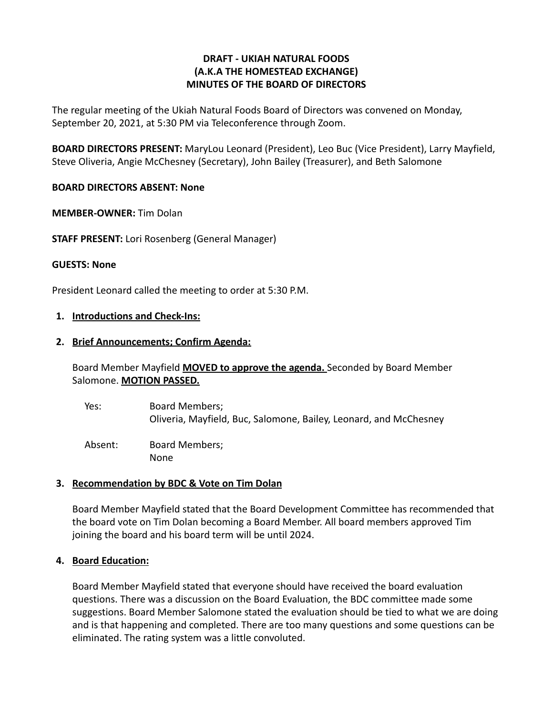# **DRAFT - UKIAH NATURAL FOODS (A.K.A THE HOMESTEAD EXCHANGE) MINUTES OF THE BOARD OF DIRECTORS**

The regular meeting of the Ukiah Natural Foods Board of Directors was convened on Monday, September 20, 2021, at 5:30 PM via Teleconference through Zoom.

**BOARD DIRECTORS PRESENT:** MaryLou Leonard (President), Leo Buc (Vice President), Larry Mayfield, Steve Oliveria, Angie McChesney (Secretary), John Bailey (Treasurer), and Beth Salomone

## **BOARD DIRECTORS ABSENT: None**

**MEMBER-OWNER:** Tim Dolan

**STAFF PRESENT:** Lori Rosenberg (General Manager)

### **GUESTS: None**

President Leonard called the meeting to order at 5:30 P.M.

### **1. Introductions and Check-Ins:**

### **2. Brief Announcements; Confirm Agenda:**

Board Member Mayfield **MOVED to approve the agenda.** Seconded by Board Member Salomone. **MOTION PASSED.**

Yes: Board Members; Oliveria, Mayfield, Buc, Salomone, Bailey, Leonard, and McChesney

Absent: Board Members; None

## **3. Recommendation by BDC & Vote on Tim Dolan**

Board Member Mayfield stated that the Board Development Committee has recommended that the board vote on Tim Dolan becoming a Board Member. All board members approved Tim joining the board and his board term will be until 2024.

## **4. Board Education:**

Board Member Mayfield stated that everyone should have received the board evaluation questions. There was a discussion on the Board Evaluation, the BDC committee made some suggestions. Board Member Salomone stated the evaluation should be tied to what we are doing and is that happening and completed. There are too many questions and some questions can be eliminated. The rating system was a little convoluted.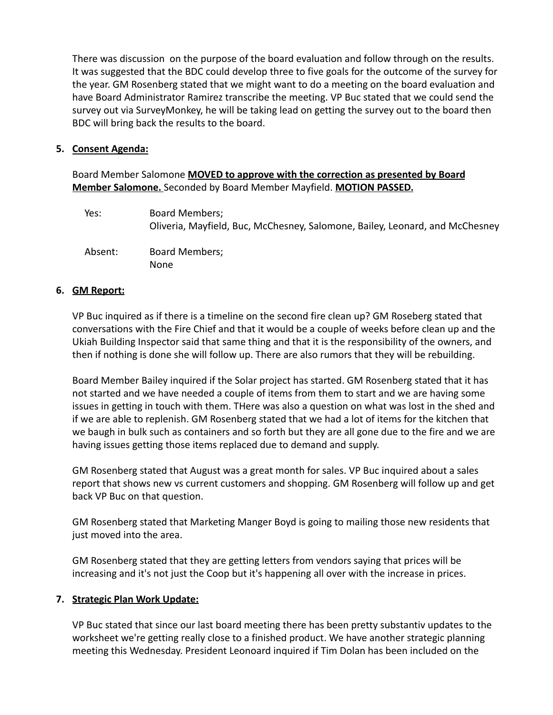There was discussion on the purpose of the board evaluation and follow through on the results. It was suggested that the BDC could develop three to five goals for the outcome of the survey for the year. GM Rosenberg stated that we might want to do a meeting on the board evaluation and have Board Administrator Ramirez transcribe the meeting. VP Buc stated that we could send the survey out via SurveyMonkey, he will be taking lead on getting the survey out to the board then BDC will bring back the results to the board.

# **5. Consent Agenda:**

Board Member Salomone **MOVED to approve with the correction as presented by Board Member Salomone.** Seconded by Board Member Mayfield. **MOTION PASSED.**

| Yes:    | Board Members;<br>Oliveria, Mayfield, Buc, McChesney, Salomone, Bailey, Leonard, and McChesney |
|---------|------------------------------------------------------------------------------------------------|
| Absent: | <b>Board Members;</b><br>None                                                                  |

# **6. GM Report:**

VP Buc inquired as if there is a timeline on the second fire clean up? GM Roseberg stated that conversations with the Fire Chief and that it would be a couple of weeks before clean up and the Ukiah Building Inspector said that same thing and that it is the responsibility of the owners, and then if nothing is done she will follow up. There are also rumors that they will be rebuilding.

Board Member Bailey inquired if the Solar project has started. GM Rosenberg stated that it has not started and we have needed a couple of items from them to start and we are having some issues in getting in touch with them. THere was also a question on what was lost in the shed and if we are able to replenish. GM Rosenberg stated that we had a lot of items for the kitchen that we baugh in bulk such as containers and so forth but they are all gone due to the fire and we are having issues getting those items replaced due to demand and supply.

GM Rosenberg stated that August was a great month for sales. VP Buc inquired about a sales report that shows new vs current customers and shopping. GM Rosenberg will follow up and get back VP Buc on that question.

GM Rosenberg stated that Marketing Manger Boyd is going to mailing those new residents that just moved into the area.

GM Rosenberg stated that they are getting letters from vendors saying that prices will be increasing and it's not just the Coop but it's happening all over with the increase in prices.

# **7. Strategic Plan Work Update:**

VP Buc stated that since our last board meeting there has been pretty substantiv updates to the worksheet we're getting really close to a finished product. We have another strategic planning meeting this Wednesday. President Leonoard inquired if Tim Dolan has been included on the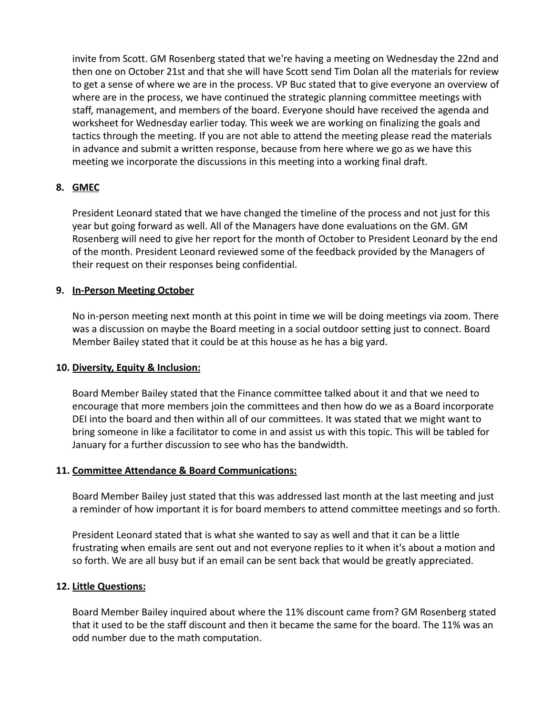invite from Scott. GM Rosenberg stated that we're having a meeting on Wednesday the 22nd and then one on October 21st and that she will have Scott send Tim Dolan all the materials for review to get a sense of where we are in the process. VP Buc stated that to give everyone an overview of where are in the process, we have continued the strategic planning committee meetings with staff, management, and members of the board. Everyone should have received the agenda and worksheet for Wednesday earlier today. This week we are working on finalizing the goals and tactics through the meeting. If you are not able to attend the meeting please read the materials in advance and submit a written response, because from here where we go as we have this meeting we incorporate the discussions in this meeting into a working final draft.

# **8. GMEC**

President Leonard stated that we have changed the timeline of the process and not just for this year but going forward as well. All of the Managers have done evaluations on the GM. GM Rosenberg will need to give her report for the month of October to President Leonard by the end of the month. President Leonard reviewed some of the feedback provided by the Managers of their request on their responses being confidential.

# **9. In-Person Meeting October**

No in-person meeting next month at this point in time we will be doing meetings via zoom. There was a discussion on maybe the Board meeting in a social outdoor setting just to connect. Board Member Bailey stated that it could be at this house as he has a big yard.

## **10. Diversity, Equity & Inclusion:**

Board Member Bailey stated that the Finance committee talked about it and that we need to encourage that more members join the committees and then how do we as a Board incorporate DEI into the board and then within all of our committees. It was stated that we might want to bring someone in like a facilitator to come in and assist us with this topic. This will be tabled for January for a further discussion to see who has the bandwidth.

## **11. Committee Attendance & Board Communications:**

Board Member Bailey just stated that this was addressed last month at the last meeting and just a reminder of how important it is for board members to attend committee meetings and so forth.

President Leonard stated that is what she wanted to say as well and that it can be a little frustrating when emails are sent out and not everyone replies to it when it's about a motion and so forth. We are all busy but if an email can be sent back that would be greatly appreciated.

#### **12. Little Questions:**

Board Member Bailey inquired about where the 11% discount came from? GM Rosenberg stated that it used to be the staff discount and then it became the same for the board. The 11% was an odd number due to the math computation.